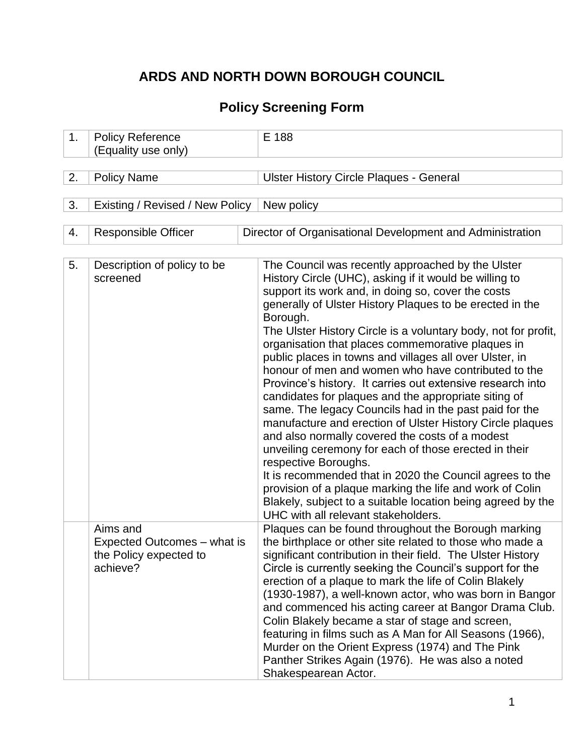# **ARDS AND NORTH DOWN BOROUGH COUNCIL**

# **Policy Screening Form**

| 1. | <b>Policy Reference</b><br>(Equality use only)                                | E 188                                                                                                                                                                                                                                                                                                                                                                                                                                                                                                                                                                                                                                                                                                                                                                                                                                                                                                                                                                                                                                                                                             |
|----|-------------------------------------------------------------------------------|---------------------------------------------------------------------------------------------------------------------------------------------------------------------------------------------------------------------------------------------------------------------------------------------------------------------------------------------------------------------------------------------------------------------------------------------------------------------------------------------------------------------------------------------------------------------------------------------------------------------------------------------------------------------------------------------------------------------------------------------------------------------------------------------------------------------------------------------------------------------------------------------------------------------------------------------------------------------------------------------------------------------------------------------------------------------------------------------------|
| 2. | <b>Policy Name</b>                                                            | <b>Ulster History Circle Plaques - General</b>                                                                                                                                                                                                                                                                                                                                                                                                                                                                                                                                                                                                                                                                                                                                                                                                                                                                                                                                                                                                                                                    |
| 3. | Existing / Revised / New Policy                                               | New policy                                                                                                                                                                                                                                                                                                                                                                                                                                                                                                                                                                                                                                                                                                                                                                                                                                                                                                                                                                                                                                                                                        |
| 4. | <b>Responsible Officer</b>                                                    | Director of Organisational Development and Administration                                                                                                                                                                                                                                                                                                                                                                                                                                                                                                                                                                                                                                                                                                                                                                                                                                                                                                                                                                                                                                         |
| 5. | Description of policy to be<br>screened                                       | The Council was recently approached by the Ulster<br>History Circle (UHC), asking if it would be willing to<br>support its work and, in doing so, cover the costs<br>generally of Ulster History Plaques to be erected in the<br>Borough.<br>The Ulster History Circle is a voluntary body, not for profit,<br>organisation that places commemorative plaques in<br>public places in towns and villages all over Ulster, in<br>honour of men and women who have contributed to the<br>Province's history. It carries out extensive research into<br>candidates for plaques and the appropriate siting of<br>same. The legacy Councils had in the past paid for the<br>manufacture and erection of Ulster History Circle plaques<br>and also normally covered the costs of a modest<br>unveiling ceremony for each of those erected in their<br>respective Boroughs.<br>It is recommended that in 2020 the Council agrees to the<br>provision of a plaque marking the life and work of Colin<br>Blakely, subject to a suitable location being agreed by the<br>UHC with all relevant stakeholders. |
|    | Aims and<br>Expected Outcomes – what is<br>the Policy expected to<br>achieve? | Plaques can be found throughout the Borough marking<br>the birthplace or other site related to those who made a<br>significant contribution in their field. The Ulster History<br>Circle is currently seeking the Council's support for the<br>erection of a plaque to mark the life of Colin Blakely<br>(1930-1987), a well-known actor, who was born in Bangor<br>and commenced his acting career at Bangor Drama Club.<br>Colin Blakely became a star of stage and screen,<br>featuring in films such as A Man for All Seasons (1966),<br>Murder on the Orient Express (1974) and The Pink<br>Panther Strikes Again (1976). He was also a noted<br>Shakespearean Actor.                                                                                                                                                                                                                                                                                                                                                                                                                        |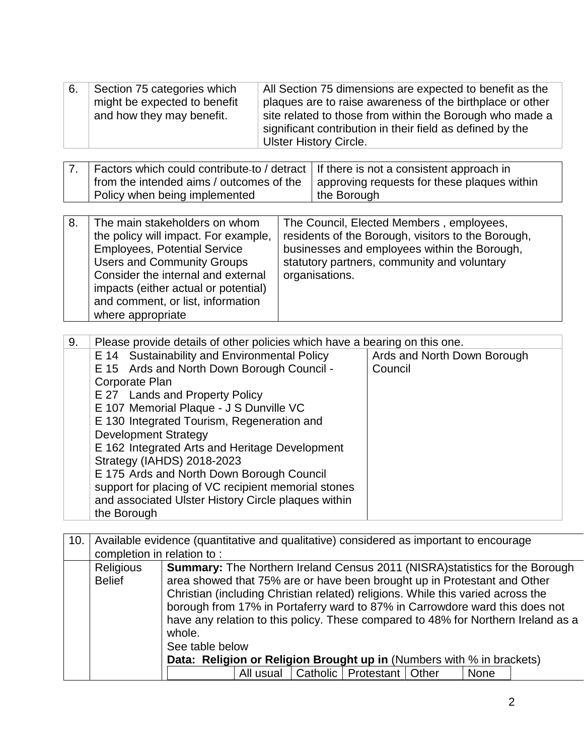| 6. | Section 75 categories which  | All Section 75 dimensions are expected to benefit as the  |
|----|------------------------------|-----------------------------------------------------------|
|    | might be expected to benefit | plaques are to raise awareness of the birthplace or other |
|    | and how they may benefit.    | site related to those from within the Borough who made a  |
|    |                              | significant contribution in their field as defined by the |
|    |                              | <b>Ulster History Circle.</b>                             |

| 7. Factors which could contribute-to / detract   If there is not a consistent approach in<br>I from the intended aims / outcomes of the | approving requests for these plaques within |
|-----------------------------------------------------------------------------------------------------------------------------------------|---------------------------------------------|
| Policy when being implemented                                                                                                           | the Borough                                 |

| 8. | The main stakeholders on whom<br>the policy will impact. For example,<br><b>Employees, Potential Service</b><br><b>Users and Community Groups</b><br>Consider the internal and external<br>impacts (either actual or potential)<br>and comment, or list, information<br>where appropriate | The Council, Elected Members, employees,<br>residents of the Borough, visitors to the Borough,<br>businesses and employees within the Borough,<br>statutory partners, community and voluntary<br>organisations. |
|----|-------------------------------------------------------------------------------------------------------------------------------------------------------------------------------------------------------------------------------------------------------------------------------------------|-----------------------------------------------------------------------------------------------------------------------------------------------------------------------------------------------------------------|
|----|-------------------------------------------------------------------------------------------------------------------------------------------------------------------------------------------------------------------------------------------------------------------------------------------|-----------------------------------------------------------------------------------------------------------------------------------------------------------------------------------------------------------------|

| 9. | Please provide details of other policies which have a bearing on this one. |                             |  |  |  |  |  |  |
|----|----------------------------------------------------------------------------|-----------------------------|--|--|--|--|--|--|
|    | E 14 Sustainability and Environmental Policy                               | Ards and North Down Borough |  |  |  |  |  |  |
|    | E 15 Ards and North Down Borough Council -                                 | Council                     |  |  |  |  |  |  |
|    | Corporate Plan                                                             |                             |  |  |  |  |  |  |
|    | E 27 Lands and Property Policy                                             |                             |  |  |  |  |  |  |
|    | E 107 Memorial Plaque - J S Dunville VC                                    |                             |  |  |  |  |  |  |
|    | E 130 Integrated Tourism, Regeneration and                                 |                             |  |  |  |  |  |  |
|    | <b>Development Strategy</b>                                                |                             |  |  |  |  |  |  |
|    | E 162 Integrated Arts and Heritage Development                             |                             |  |  |  |  |  |  |
|    | Strategy (IAHDS) 2018-2023                                                 |                             |  |  |  |  |  |  |
|    | E 175 Ards and North Down Borough Council                                  |                             |  |  |  |  |  |  |
|    | support for placing of VC recipient memorial stones                        |                             |  |  |  |  |  |  |
|    | and associated Ulster History Circle plaques within                        |                             |  |  |  |  |  |  |
|    | the Borough                                                                |                             |  |  |  |  |  |  |

| 10. |                                                                                                                                                                                                                                                                                                                                                                                                                                                                       | Available evidence (quantitative and qualitative) considered as important to encourage |  |  |  |  |  |  |  |
|-----|-----------------------------------------------------------------------------------------------------------------------------------------------------------------------------------------------------------------------------------------------------------------------------------------------------------------------------------------------------------------------------------------------------------------------------------------------------------------------|----------------------------------------------------------------------------------------|--|--|--|--|--|--|--|
|     |                                                                                                                                                                                                                                                                                                                                                                                                                                                                       | completion in relation to:                                                             |  |  |  |  |  |  |  |
|     | <b>Religious</b><br><b>Summary:</b> The Northern Ireland Census 2011 (NISRA) statistics for the Borough<br>area showed that 75% are or have been brought up in Protestant and Other<br><b>Belief</b><br>Christian (including Christian related) religions. While this varied across the<br>borough from 17% in Portaferry ward to 87% in Carrowdore ward this does not<br>have any relation to this policy. These compared to 48% for Northern Ireland as a<br>whole. |                                                                                        |  |  |  |  |  |  |  |
|     |                                                                                                                                                                                                                                                                                                                                                                                                                                                                       | See table below                                                                        |  |  |  |  |  |  |  |
|     |                                                                                                                                                                                                                                                                                                                                                                                                                                                                       | Data: Religion or Religion Brought up in (Numbers with % in brackets)                  |  |  |  |  |  |  |  |
|     |                                                                                                                                                                                                                                                                                                                                                                                                                                                                       | All usual   Catholic   Protestant   Other<br>None                                      |  |  |  |  |  |  |  |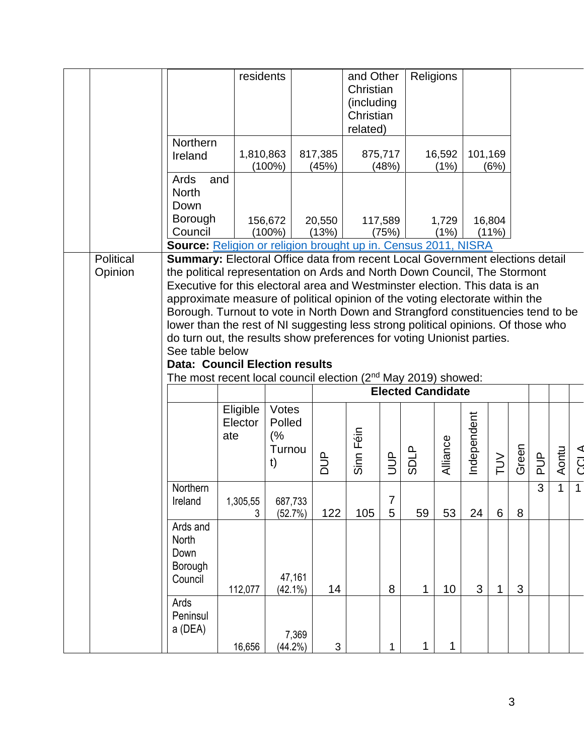|                      |                                                                                                                                                                                                                                                                                                                                                                                                                                                                                                                                                                                                                                                                                                                                                        | residents                  |                                       |                  | and Other<br>Christian<br>(including<br>Christian |                  |              | Religions      |             |                    |       |               |                |             |
|----------------------|--------------------------------------------------------------------------------------------------------------------------------------------------------------------------------------------------------------------------------------------------------------------------------------------------------------------------------------------------------------------------------------------------------------------------------------------------------------------------------------------------------------------------------------------------------------------------------------------------------------------------------------------------------------------------------------------------------------------------------------------------------|----------------------------|---------------------------------------|------------------|---------------------------------------------------|------------------|--------------|----------------|-------------|--------------------|-------|---------------|----------------|-------------|
|                      | Northern<br>Ireland                                                                                                                                                                                                                                                                                                                                                                                                                                                                                                                                                                                                                                                                                                                                    | 1,810,863                  | $(100\%)$                             | 817,385<br>(45%) | related)                                          | 875,717<br>(48%) |              | 16,592<br>(1%) | 101,169     | (6%)               |       |               |                |             |
|                      | Ards<br>and<br><b>North</b><br>Down<br><b>Borough</b><br>Council                                                                                                                                                                                                                                                                                                                                                                                                                                                                                                                                                                                                                                                                                       |                            | 156,672<br>$(100\%)$                  | 20,550<br>(13%)  |                                                   | 117,589<br>(75%) |              | 1,729<br>(1%)  |             | 16,804<br>$(11\%)$ |       |               |                |             |
|                      | <b>Source:</b> Religion or religion brought up in. Census 2011, NISRA                                                                                                                                                                                                                                                                                                                                                                                                                                                                                                                                                                                                                                                                                  |                            |                                       |                  |                                                   |                  |              |                |             |                    |       |               |                |             |
| Political<br>Opinion | <b>Summary:</b> Electoral Office data from recent Local Government elections detail<br>the political representation on Ards and North Down Council, The Stormont<br>Executive for this electoral area and Westminster election. This data is an<br>approximate measure of political opinion of the voting electorate within the<br>Borough. Turnout to vote in North Down and Strangford constituencies tend to be<br>lower than the rest of NI suggesting less strong political opinions. Of those who<br>do turn out, the results show preferences for voting Unionist parties.<br>See table below<br><b>Data: Council Election results</b><br>The most recent local council election (2 <sup>nd</sup> May 2019) showed:<br><b>Elected Candidate</b> |                            |                                       |                  |                                                   |                  |              |                |             |                    |       |               |                |             |
|                      |                                                                                                                                                                                                                                                                                                                                                                                                                                                                                                                                                                                                                                                                                                                                                        |                            |                                       |                  |                                                   |                  |              |                |             |                    |       |               |                |             |
|                      |                                                                                                                                                                                                                                                                                                                                                                                                                                                                                                                                                                                                                                                                                                                                                        | Eligible<br>Elector<br>ate | Votes<br>Polled<br>(%<br>Turnou<br>t) | $\frac{p}{q}$    | Sinn Féin                                         | JUP              | <b>SDLP</b>  | Alliance       | Independent | $\geq$             | Green | $\frac{d}{d}$ | Aontu          | <b>CCLA</b> |
|                      | Northern<br>Ireland                                                                                                                                                                                                                                                                                                                                                                                                                                                                                                                                                                                                                                                                                                                                    | 1,305,55<br>3              | 687,733<br>(52.7%)                    | 122              | 105                                               | 7<br>5           | 59           | 53             | 24          | $6\phantom{1}$     | 8     | 3             | $\overline{1}$ |             |
|                      | Ards and<br>North<br>Down<br>Borough<br>Council                                                                                                                                                                                                                                                                                                                                                                                                                                                                                                                                                                                                                                                                                                        | 112,077                    | 47,161<br>$(42.1\%)$                  | 14               |                                                   | $\bf 8$          | $\mathbf{1}$ | 10             | 3           | 1                  | 3     |               |                |             |
|                      | Ards<br>Peninsul<br>a (DEA)                                                                                                                                                                                                                                                                                                                                                                                                                                                                                                                                                                                                                                                                                                                            | 16,656                     | 7,369<br>(44.2%)                      | 3                |                                                   | 1                | 1            | 1              |             |                    |       |               |                |             |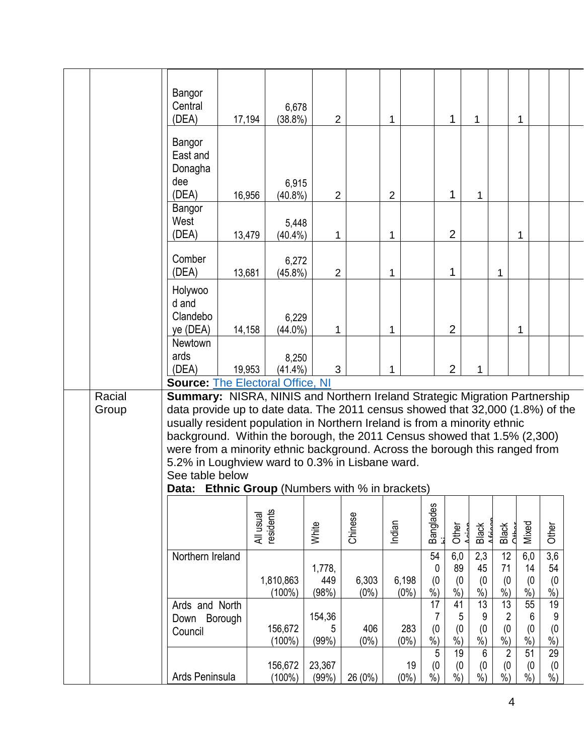|  |                 | Bangor<br>Central<br>(DEA)                                                                                                                                                                                                                                                                                                                                                                                                                                                                                                           | 17,194    | 6,678<br>$(38.8\%)$    | $\overline{2}$         |                  | 1                |                                     | $\mathbf{1}$                                  | 1                                     |                                            | 1                               |                                                |  |
|--|-----------------|--------------------------------------------------------------------------------------------------------------------------------------------------------------------------------------------------------------------------------------------------------------------------------------------------------------------------------------------------------------------------------------------------------------------------------------------------------------------------------------------------------------------------------------|-----------|------------------------|------------------------|------------------|------------------|-------------------------------------|-----------------------------------------------|---------------------------------------|--------------------------------------------|---------------------------------|------------------------------------------------|--|
|  |                 | Bangor<br>East and<br>Donagha<br>dee<br>(DEA)                                                                                                                                                                                                                                                                                                                                                                                                                                                                                        | 16,956    | 6,915<br>$(40.8\%)$    | $\overline{2}$         |                  | $\overline{2}$   |                                     | $\mathbf{1}$                                  | 1                                     |                                            |                                 |                                                |  |
|  |                 | Bangor<br>West<br>(DEA)                                                                                                                                                                                                                                                                                                                                                                                                                                                                                                              | 13,479    | 5,448<br>$(40.4\%)$    | 1                      |                  | 1                |                                     | $\overline{2}$                                |                                       |                                            | 1                               |                                                |  |
|  |                 | Comber<br>(DEA)                                                                                                                                                                                                                                                                                                                                                                                                                                                                                                                      | 13,681    | 6,272<br>$(45.8\%)$    | $\overline{2}$         |                  | 1                |                                     | 1                                             |                                       | 1                                          |                                 |                                                |  |
|  |                 | Holywoo<br>d and<br>Clandebo<br>ye (DEA)                                                                                                                                                                                                                                                                                                                                                                                                                                                                                             | 14,158    | 6,229<br>$(44.0\%)$    | 1                      |                  | 1                |                                     | $\overline{2}$                                |                                       |                                            | 1                               |                                                |  |
|  |                 | Newtown<br>ards<br>(DEA)<br><b>Source: The Electoral Office, NI</b>                                                                                                                                                                                                                                                                                                                                                                                                                                                                  | 19,953    | 8,250<br>$(41.4\%)$    | 3                      |                  | 1                |                                     | $\overline{2}$                                | 1                                     |                                            |                                 |                                                |  |
|  | Racial<br>Group | Summary: NISRA, NINIS and Northern Ireland Strategic Migration Partnership<br>data provide up to date data. The 2011 census showed that 32,000 (1.8%) of the<br>usually resident population in Northern Ireland is from a minority ethnic<br>background. Within the borough, the 2011 Census showed that 1.5% (2,300)<br>were from a minority ethnic background. Across the borough this ranged from<br>5.2% in Loughview ward to 0.3% in Lisbane ward.<br>See table below<br><b>Data: Ethnic Group</b> (Numbers with % in brackets) |           |                        |                        |                  |                  |                                     |                                               |                                       |                                            |                                 |                                                |  |
|  |                 |                                                                                                                                                                                                                                                                                                                                                                                                                                                                                                                                      | All usual | esidents               | White                  | Chinese          | Indian           | <b>Banglades</b>                    | Other                                         | Black                                 | Black<br>Other                             | Mixed                           | Other                                          |  |
|  |                 | Northern Ireland                                                                                                                                                                                                                                                                                                                                                                                                                                                                                                                     |           | 1,810,863<br>$(100\%)$ | 1,778,<br>449<br>(98%) | 6,303<br>$(0\%)$ | 6,198<br>$(0\%)$ | 54<br>0<br>(0)<br>$\sqrt[6]{\cdot}$ | 6,0<br>89<br>(0)<br>$\overline{\frac{9}{6}})$ | 2,3<br>45<br>(0, 0)                   | 12<br>71<br>(0)<br>$\dot{90}$              | 6,0<br>14<br>(0)<br>$\dot{\%})$ | $\overline{3,6}$<br>54<br>(0)<br>$\frac{9}{6}$ |  |
|  |                 | Ards and North<br>Borough<br>Down<br>Council                                                                                                                                                                                                                                                                                                                                                                                                                                                                                         |           | 156,672<br>(100%)      | 154,36<br>5<br>(99%)   | 406<br>$(0\%)$   | 283<br>$(0\%)$   | 17<br>7<br>(0)<br>$\sqrt[6]{\cdot}$ | 41<br>5<br>(0)<br>$\frac{9}{6}$               | 13<br>9<br>(0)<br>$\dot{\%}$          | 13<br>$\overline{c}$<br>(0)<br>$\dot{\%})$ | 55<br>6<br>(0)<br>$\frac{9}{6}$ | 19<br>9<br>(0)<br>$%$ )                        |  |
|  |                 | Ards Peninsula                                                                                                                                                                                                                                                                                                                                                                                                                                                                                                                       |           | 156,672<br>(100%)      | 23,367<br>(99%)        | 26 (0%)          | 19<br>$(0\%)$    | 5<br>(0)<br>$\frac{9}{6}$           | 19<br>(0)<br>$%$ )                            | 6<br>(0)<br>$\overline{\frac{9}{6}})$ | $\overline{2}$<br>(0)<br>$\frac{9}{6}$     | 51<br>(0)<br>$\frac{9}{6}$      | 29<br>(0)<br>$\%$ )                            |  |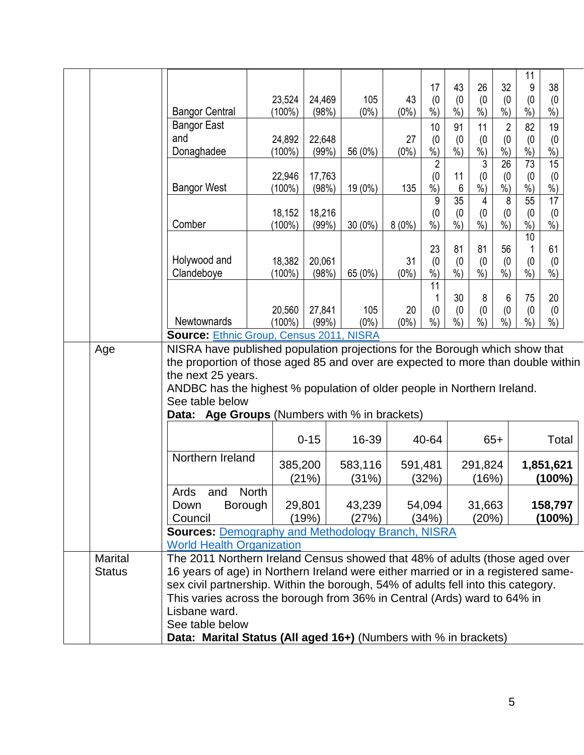|                                                                                                                                                                                                                                                                                                                                                    | <b>Bangor Central</b><br><b>Bangor East</b><br>and<br>Donaghadee                                                                                                                                                                                                                                                                                   | 23,524<br>(100%)<br>24,892<br>$(100\%)$ |                  | 24,469<br>(98%)<br>22,648<br>(99%) | 105<br>$(0\%)$<br>56 (0%) | 43<br>$(0\%)$<br>27<br>$(0\%)$ | 17<br>(0)<br>$\dot{\%}$<br>10<br>(0)<br>$%$ ) | 43<br>(0)<br>$\frac{9}{6}$<br>91<br>(0)<br>$%$ ) | 26<br>(0)<br>$\dot{\%}$<br>11<br>(0)<br>$\frac{9}{6}$ | 32<br>(0)<br>$\dot{\%}$<br>$\overline{2}$<br>(0)<br>$\frac{\%}{\%}$ | 11<br>9<br>(0)<br>$\overline{\frac{9}{6}})$<br>82<br>(0)<br>$\%$ ) | 38<br>(0)<br>$\overline{\frac{9}{6}})$<br>19<br>(0)<br>$\frac{9}{6}$ |  |
|----------------------------------------------------------------------------------------------------------------------------------------------------------------------------------------------------------------------------------------------------------------------------------------------------------------------------------------------------|----------------------------------------------------------------------------------------------------------------------------------------------------------------------------------------------------------------------------------------------------------------------------------------------------------------------------------------------------|-----------------------------------------|------------------|------------------------------------|---------------------------|--------------------------------|-----------------------------------------------|--------------------------------------------------|-------------------------------------------------------|---------------------------------------------------------------------|--------------------------------------------------------------------|----------------------------------------------------------------------|--|
|                                                                                                                                                                                                                                                                                                                                                    | <b>Bangor West</b>                                                                                                                                                                                                                                                                                                                                 | 22,946<br>$(100\%)$                     |                  | 17,763<br>(98%)                    | 19 (0%)                   | 135                            | 2<br>(0)<br>$%$ )                             | 11<br>6                                          | 3<br>(0)<br>$%$ )                                     | $\overline{26}$<br>(0)<br>%                                         | 73<br>(0)<br>$%$ )                                                 | 15<br>(0)<br>$%$ )                                                   |  |
|                                                                                                                                                                                                                                                                                                                                                    | Comber                                                                                                                                                                                                                                                                                                                                             | 18,152<br>$(100\%)$                     |                  | 18,216<br>(99%                     | $30(0\%)$                 | $8(0\%)$                       | 9<br>(0)<br>$\frac{0}{0}$                     | 35<br>(0)<br>$\frac{9}{6}$                       | 4<br>(0)<br>$\dot{\%}$                                | 8<br>(0)<br>$\dot{\%}$                                              | 55<br>(0)<br>$\sqrt{6}$<br>10                                      | 17<br>(0)<br>$\frac{9}{6}$                                           |  |
|                                                                                                                                                                                                                                                                                                                                                    | Holywood and<br>Clandeboye                                                                                                                                                                                                                                                                                                                         | 18,382<br>$(100\%)$                     |                  | 20,061<br>(98%)                    | 65 (0%)                   | 31<br>$(0\%)$                  | 23<br>(0)<br>$\frac{0}{0}$                    | 81<br>(0)<br>$\frac{9}{6}$                       | 81<br>(0)<br>$\overline{\frac{9}{6}})$                | 56<br>(0)<br>$\sqrt[6]{\cdot}$                                      | (0)<br>$\frac{9}{6}$                                               | 61<br>(0)<br>$%$ )                                                   |  |
|                                                                                                                                                                                                                                                                                                                                                    | <b>Newtownards</b>                                                                                                                                                                                                                                                                                                                                 | 20,560<br>$(100\%)$                     |                  | 27,841<br>(99%)                    | 105<br>$(0\%)$            | 20<br>$(0\%)$                  | 11<br>(0)<br>%                                | 30<br>(0)<br>$%$ )                               | 8<br>(0)<br>$\frac{9}{0}$                             | 6<br>(0)<br>$%$ )                                                   | 75<br>(0)<br>%                                                     | 20<br>(0)<br>$%$ )                                                   |  |
|                                                                                                                                                                                                                                                                                                                                                    | <b>Source: Ethnic Group, Census 2011, NISRA</b>                                                                                                                                                                                                                                                                                                    |                                         |                  |                                    |                           |                                |                                               |                                                  |                                                       |                                                                     |                                                                    |                                                                      |  |
| NISRA have published population projections for the Borough which show that<br>Age<br>the proportion of those aged 85 and over are expected to more than double within<br>the next 25 years.<br>ANDBC has the highest % population of older people in Northern Ireland.<br>See table below<br><b>Data: Age Groups (Numbers with % in brackets)</b> |                                                                                                                                                                                                                                                                                                                                                    |                                         |                  |                                    |                           |                                |                                               |                                                  |                                                       |                                                                     |                                                                    |                                                                      |  |
|                                                                                                                                                                                                                                                                                                                                                    |                                                                                                                                                                                                                                                                                                                                                    |                                         | $0 - 15$         |                                    | 16-39                     |                                | 40-64                                         |                                                  |                                                       | $65+$                                                               |                                                                    | Total                                                                |  |
|                                                                                                                                                                                                                                                                                                                                                    | Northern Ireland                                                                                                                                                                                                                                                                                                                                   |                                         | 385,200<br>(21%) |                                    | 583,116<br>(31%)          | 591,481                        | (32%)                                         | 291,824<br>(16%)                                 |                                                       |                                                                     | 1,851,621<br>(100%)                                                |                                                                      |  |
|                                                                                                                                                                                                                                                                                                                                                    | Ards and North<br><b>Borough</b><br>Down<br>Council                                                                                                                                                                                                                                                                                                |                                         | 29,801<br>(19%)  |                                    | 43,239<br>(27%)           |                                | 54,094<br>(34%)                               |                                                  | 31,663<br>(20%)                                       |                                                                     |                                                                    | 158,797<br>(100%)                                                    |  |
|                                                                                                                                                                                                                                                                                                                                                    | <b>Sources: Demography and Methodology Branch, NISRA</b><br><b>World Health Organization</b>                                                                                                                                                                                                                                                       |                                         |                  |                                    |                           |                                |                                               |                                                  |                                                       |                                                                     |                                                                    |                                                                      |  |
| <b>Marital</b><br><b>Status</b>                                                                                                                                                                                                                                                                                                                    | The 2011 Northern Ireland Census showed that 48% of adults (those aged over<br>16 years of age) in Northern Ireland were either married or in a registered same-<br>sex civil partnership. Within the borough, 54% of adults fell into this category.<br>This varies across the borough from 36% in Central (Ards) ward to 64% in<br>Lisbane ward. |                                         |                  |                                    |                           |                                |                                               |                                                  |                                                       |                                                                     |                                                                    |                                                                      |  |
|                                                                                                                                                                                                                                                                                                                                                    | See table below<br>Data: Marital Status (All aged 16+) (Numbers with % in brackets)                                                                                                                                                                                                                                                                |                                         |                  |                                    |                           |                                |                                               |                                                  |                                                       |                                                                     |                                                                    |                                                                      |  |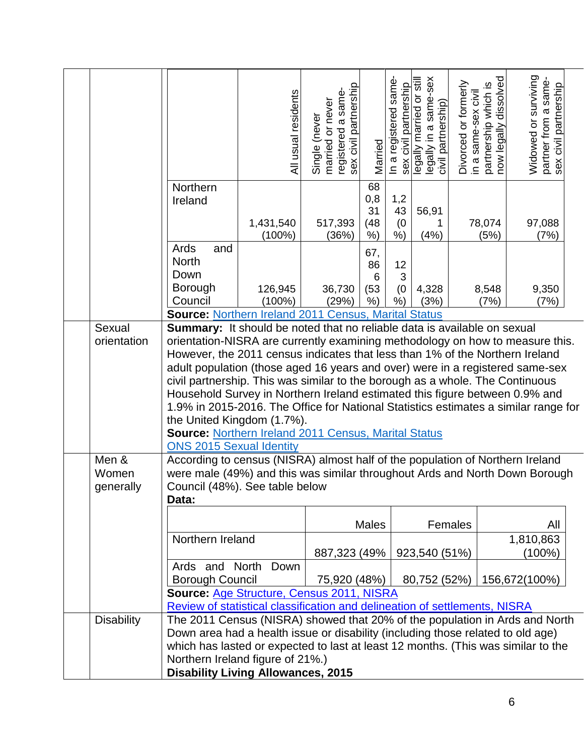|                             |                                                                                                                                                                                                                                                                                                                                                                                                                                                                                                                                                                                                                                                                                                                                                                                         | All usual residents    | registered a same-<br>sex civil partnership<br>Single (never<br>married or never | Married                          | In a registered same<br>sex civil partnership | legally married or still<br>legally in a same-sex<br>civil partnership) | Divorced or formerly<br>in a same-sex civil | partnership which is<br>now legally dissolved | Widowed or surviving<br>partner from a same-<br>sex civil partnership |  |
|-----------------------------|-----------------------------------------------------------------------------------------------------------------------------------------------------------------------------------------------------------------------------------------------------------------------------------------------------------------------------------------------------------------------------------------------------------------------------------------------------------------------------------------------------------------------------------------------------------------------------------------------------------------------------------------------------------------------------------------------------------------------------------------------------------------------------------------|------------------------|----------------------------------------------------------------------------------|----------------------------------|-----------------------------------------------|-------------------------------------------------------------------------|---------------------------------------------|-----------------------------------------------|-----------------------------------------------------------------------|--|
|                             | Northern<br>Ireland                                                                                                                                                                                                                                                                                                                                                                                                                                                                                                                                                                                                                                                                                                                                                                     | 1,431,540<br>$(100\%)$ | 517,393<br>(36%)                                                                 | 68<br>0,8<br>31<br>(48)<br>$%$ ) | 1,2<br>43<br>(0)<br>%                         | 56,91<br>(4% )                                                          |                                             | 78,074<br>(5%)                                | 97,088<br>(7%)                                                        |  |
|                             | Ards<br>and<br><b>North</b><br>Down<br><b>Borough</b><br>Council                                                                                                                                                                                                                                                                                                                                                                                                                                                                                                                                                                                                                                                                                                                        | 126,945<br>$(100\%)$   | 36,730<br>(29%)                                                                  | 67,<br>86<br>6<br>(53)<br>$%$ )  | 12<br>3<br>(0)<br>$%$ )                       | 4,328<br>(3%)                                                           |                                             | 8,548<br>(7%)                                 | 9,350<br>(7%)                                                         |  |
| Sexual<br>orientation       | <b>Source: Northern Ireland 2011 Census, Marital Status</b><br><b>Summary:</b> It should be noted that no reliable data is available on sexual<br>orientation-NISRA are currently examining methodology on how to measure this.<br>However, the 2011 census indicates that less than 1% of the Northern Ireland<br>adult population (those aged 16 years and over) were in a registered same-sex<br>civil partnership. This was similar to the borough as a whole. The Continuous<br>Household Survey in Northern Ireland estimated this figure between 0.9% and<br>1.9% in 2015-2016. The Office for National Statistics estimates a similar range for<br>the United Kingdom (1.7%).<br><b>Source: Northern Ireland 2011 Census, Marital Status</b><br><b>ONS 2015 Sexual Identity</b> |                        |                                                                                  |                                  |                                               |                                                                         |                                             |                                               |                                                                       |  |
| Men &<br>Women<br>generally | According to census (NISRA) almost half of the population of Northern Ireland<br>were male (49%) and this was similar throughout Ards and North Down Borough<br>Council (48%). See table below<br>Data:                                                                                                                                                                                                                                                                                                                                                                                                                                                                                                                                                                                 |                        |                                                                                  |                                  |                                               |                                                                         |                                             |                                               |                                                                       |  |
|                             | <b>Males</b><br>Northern Ireland<br>887,323 (49%)                                                                                                                                                                                                                                                                                                                                                                                                                                                                                                                                                                                                                                                                                                                                       |                        |                                                                                  |                                  |                                               |                                                                         | Females<br>923,540 (51%)                    |                                               | All<br>1,810,863<br>(100%)                                            |  |
|                             | Ards and North<br>Down<br><b>Borough Council</b><br>75,920 (48%)<br>80,752 (52%)<br>156,672(100%)<br>Source: Age Structure, Census 2011, NISRA<br>Review of statistical classification and delineation of settlements, NISRA                                                                                                                                                                                                                                                                                                                                                                                                                                                                                                                                                            |                        |                                                                                  |                                  |                                               |                                                                         |                                             |                                               |                                                                       |  |
| <b>Disability</b>           | The 2011 Census (NISRA) showed that 20% of the population in Ards and North<br>Down area had a health issue or disability (including those related to old age)<br>which has lasted or expected to last at least 12 months. (This was similar to the<br>Northern Ireland figure of 21%.)<br><b>Disability Living Allowances, 2015</b>                                                                                                                                                                                                                                                                                                                                                                                                                                                    |                        |                                                                                  |                                  |                                               |                                                                         |                                             |                                               |                                                                       |  |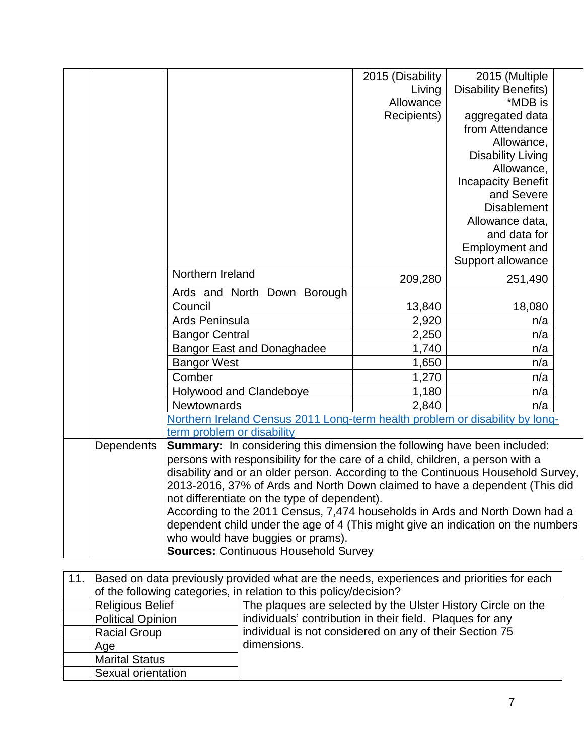|            |                                                                                                                                                                 | 2015 (Disability | 2015 (Multiple              |  |  |  |  |
|------------|-----------------------------------------------------------------------------------------------------------------------------------------------------------------|------------------|-----------------------------|--|--|--|--|
|            |                                                                                                                                                                 | Living           | <b>Disability Benefits)</b> |  |  |  |  |
|            |                                                                                                                                                                 | Allowance        | *MDB is                     |  |  |  |  |
|            |                                                                                                                                                                 | Recipients)      | aggregated data             |  |  |  |  |
|            |                                                                                                                                                                 |                  | from Attendance             |  |  |  |  |
|            |                                                                                                                                                                 |                  | Allowance,                  |  |  |  |  |
|            |                                                                                                                                                                 |                  | <b>Disability Living</b>    |  |  |  |  |
|            |                                                                                                                                                                 |                  | Allowance,                  |  |  |  |  |
|            |                                                                                                                                                                 |                  | <b>Incapacity Benefit</b>   |  |  |  |  |
|            |                                                                                                                                                                 |                  | and Severe                  |  |  |  |  |
|            |                                                                                                                                                                 |                  | <b>Disablement</b>          |  |  |  |  |
|            |                                                                                                                                                                 |                  | Allowance data,             |  |  |  |  |
|            |                                                                                                                                                                 |                  | and data for                |  |  |  |  |
|            |                                                                                                                                                                 |                  | Employment and              |  |  |  |  |
|            |                                                                                                                                                                 |                  | Support allowance           |  |  |  |  |
|            | Northern Ireland                                                                                                                                                | 209,280          | 251,490                     |  |  |  |  |
|            | Ards and North Down Borough                                                                                                                                     |                  |                             |  |  |  |  |
|            | Council                                                                                                                                                         | 13,840           | 18,080                      |  |  |  |  |
|            | Ards Peninsula                                                                                                                                                  | 2,920            | n/a                         |  |  |  |  |
|            | <b>Bangor Central</b>                                                                                                                                           | 2,250            | n/a                         |  |  |  |  |
|            | <b>Bangor East and Donaghadee</b>                                                                                                                               | 1,740            | n/a                         |  |  |  |  |
|            | <b>Bangor West</b>                                                                                                                                              | 1,650            | n/a                         |  |  |  |  |
|            | Comber                                                                                                                                                          | 1,270            | n/a                         |  |  |  |  |
|            | Holywood and Clandeboye                                                                                                                                         | 1,180            | n/a                         |  |  |  |  |
|            | Newtownards                                                                                                                                                     | 2,840            | n/a                         |  |  |  |  |
|            | Northern Ireland Census 2011 Long-term health problem or disability by long-                                                                                    |                  |                             |  |  |  |  |
|            | term problem or disability                                                                                                                                      |                  |                             |  |  |  |  |
| Dependents | Summary: In considering this dimension the following have been included:                                                                                        |                  |                             |  |  |  |  |
|            | persons with responsibility for the care of a child, children, a person with a                                                                                  |                  |                             |  |  |  |  |
|            | disability and or an older person. According to the Continuous Household Survey,                                                                                |                  |                             |  |  |  |  |
|            | 2013-2016, 37% of Ards and North Down claimed to have a dependent (This did                                                                                     |                  |                             |  |  |  |  |
|            | not differentiate on the type of dependent).                                                                                                                    |                  |                             |  |  |  |  |
|            | According to the 2011 Census, 7,474 households in Ards and North Down had a<br>dependent child under the age of 4 (This might give an indication on the numbers |                  |                             |  |  |  |  |
|            |                                                                                                                                                                 |                  |                             |  |  |  |  |
|            | who would have buggies or prams).                                                                                                                               |                  |                             |  |  |  |  |
|            | <b>Sources: Continuous Household Survey</b>                                                                                                                     |                  |                             |  |  |  |  |

| 11. | Based on data previously provided what are the needs, experiences and priorities for each |                                                              |  |  |  |  |  |  |  |
|-----|-------------------------------------------------------------------------------------------|--------------------------------------------------------------|--|--|--|--|--|--|--|
|     | of the following categories, in relation to this policy/decision?                         |                                                              |  |  |  |  |  |  |  |
|     | <b>Religious Belief</b>                                                                   | The plaques are selected by the Ulster History Circle on the |  |  |  |  |  |  |  |
|     | <b>Political Opinion</b>                                                                  | individuals' contribution in their field. Plaques for any    |  |  |  |  |  |  |  |
|     | <b>Racial Group</b>                                                                       | individual is not considered on any of their Section 75      |  |  |  |  |  |  |  |
|     | Age                                                                                       | dimensions.                                                  |  |  |  |  |  |  |  |
|     | <b>Marital Status</b>                                                                     |                                                              |  |  |  |  |  |  |  |
|     | Sexual orientation                                                                        |                                                              |  |  |  |  |  |  |  |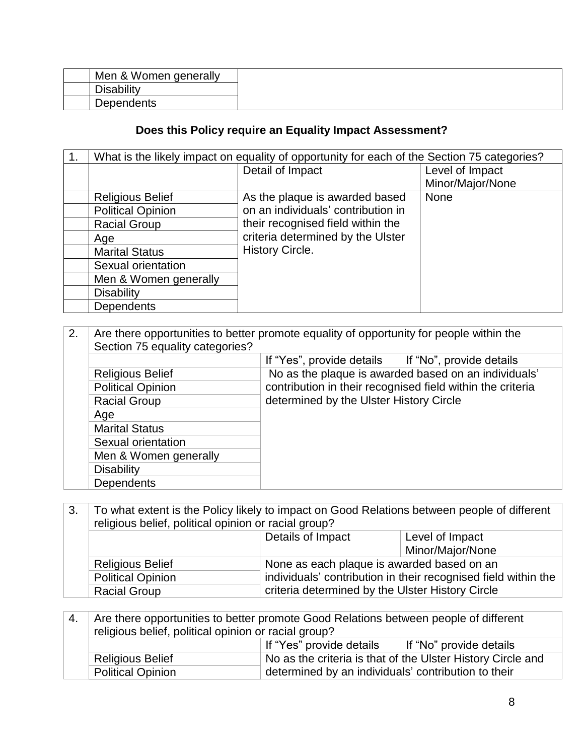| Men & Women generally |  |
|-----------------------|--|
| <b>Disability</b>     |  |
| Dependents            |  |

### **Does this Policy require an Equality Impact Assessment?**

| 1. | What is the likely impact on equality of opportunity for each of the Section 75 categories? |                                    |                  |  |
|----|---------------------------------------------------------------------------------------------|------------------------------------|------------------|--|
|    |                                                                                             | Detail of Impact                   | Level of Impact  |  |
|    |                                                                                             |                                    | Minor/Major/None |  |
|    | <b>Religious Belief</b>                                                                     | As the plaque is awarded based     | <b>None</b>      |  |
|    | <b>Political Opinion</b>                                                                    | on an individuals' contribution in |                  |  |
|    | <b>Racial Group</b>                                                                         | their recognised field within the  |                  |  |
|    | Age                                                                                         | criteria determined by the Ulster  |                  |  |
|    | <b>Marital Status</b>                                                                       | <b>History Circle.</b>             |                  |  |
|    | Sexual orientation                                                                          |                                    |                  |  |
|    | Men & Women generally                                                                       |                                    |                  |  |
|    | <b>Disability</b>                                                                           |                                    |                  |  |
|    | <b>Dependents</b>                                                                           |                                    |                  |  |

## 2. Are there opportunities to better promote equality of opportunity for people within the Section 75 equality categories? If "Yes", provide details If "No", provide details

|                          | IT YES, Drovide details The No. provide details            |
|--------------------------|------------------------------------------------------------|
| <b>Religious Belief</b>  | No as the plaque is awarded based on an individuals'       |
| <b>Political Opinion</b> | contribution in their recognised field within the criteria |
| <b>Racial Group</b>      | determined by the Ulster History Circle                    |
| Age                      |                                                            |
| <b>Marital Status</b>    |                                                            |
| Sexual orientation       |                                                            |
| Men & Women generally    |                                                            |
| <b>Disability</b>        |                                                            |
| <b>Dependents</b>        |                                                            |

3. To what extent is the Policy likely to impact on Good Relations between people of different religious belief, political opinion or racial group?

|                          | Details of Impact                                              | Level of Impact  |
|--------------------------|----------------------------------------------------------------|------------------|
|                          |                                                                | Minor/Major/None |
| <b>Religious Belief</b>  | None as each plaque is awarded based on an                     |                  |
| <b>Political Opinion</b> | individuals' contribution in their recognised field within the |                  |
| <b>Racial Group</b>      | criteria determined by the Ulster History Circle               |                  |
|                          |                                                                |                  |

| 4. | Are there opportunities to better promote Good Relations between people of different |                                                     |                                                             |  |
|----|--------------------------------------------------------------------------------------|-----------------------------------------------------|-------------------------------------------------------------|--|
|    | religious belief, political opinion or racial group?                                 |                                                     |                                                             |  |
|    |                                                                                      | If "Yes" provide details                            | If "No" provide details                                     |  |
|    | <b>Religious Belief</b>                                                              |                                                     | No as the criteria is that of the Ulster History Circle and |  |
|    | <b>Political Opinion</b>                                                             | determined by an individuals' contribution to their |                                                             |  |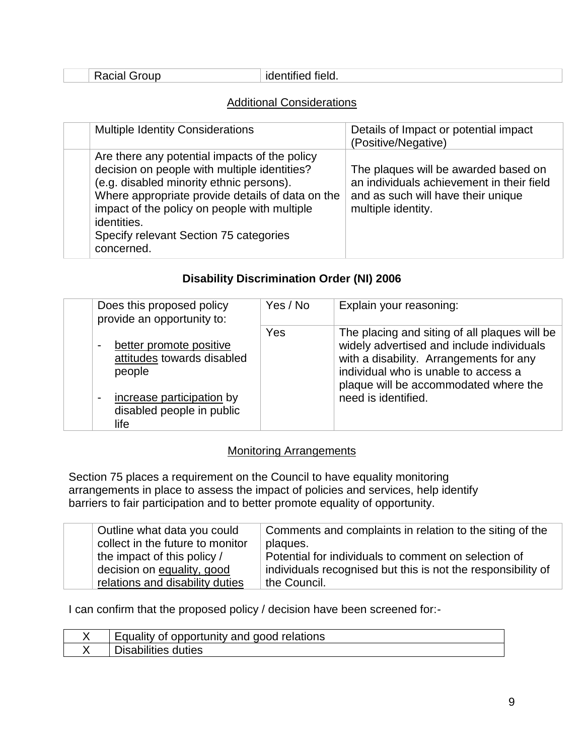identified field.

#### Additional Considerations

| <b>Multiple Identity Considerations</b>                                                                                                                                                                                                                                                                              | Details of Impact or potential impact<br>(Positive/Negative)                                                                                  |
|----------------------------------------------------------------------------------------------------------------------------------------------------------------------------------------------------------------------------------------------------------------------------------------------------------------------|-----------------------------------------------------------------------------------------------------------------------------------------------|
| Are there any potential impacts of the policy<br>decision on people with multiple identities?<br>(e.g. disabled minority ethnic persons).<br>Where appropriate provide details of data on the<br>impact of the policy on people with multiple<br>identities.<br>Specify relevant Section 75 categories<br>concerned. | The plaques will be awarded based on<br>an individuals achievement in their field<br>and as such will have their unique<br>multiple identity. |

### **Disability Discrimination Order (NI) 2006**

| Does this proposed policy<br>provide an opportunity to:                          | Yes / No | Explain your reasoning:                                                                                                                                                                                                |
|----------------------------------------------------------------------------------|----------|------------------------------------------------------------------------------------------------------------------------------------------------------------------------------------------------------------------------|
| better promote positive<br>attitudes towards disabled<br>people                  | Yes      | The placing and siting of all plaques will be<br>widely advertised and include individuals<br>with a disability. Arrangements for any<br>individual who is unable to access a<br>plaque will be accommodated where the |
| increase participation by<br>$\overline{a}$<br>disabled people in public<br>life |          | need is identified.                                                                                                                                                                                                    |

#### Monitoring Arrangements

Section 75 places a requirement on the Council to have equality monitoring arrangements in place to assess the impact of policies and services, help identify barriers to fair participation and to better promote equality of opportunity.

| Outline what data you could      | Comments and complaints in relation to the siting of the     |
|----------------------------------|--------------------------------------------------------------|
| collect in the future to monitor | plaques.                                                     |
| the impact of this policy /      | Potential for individuals to comment on selection of         |
| decision on equality, good       | individuals recognised but this is not the responsibility of |
| relations and disability duties  | the Council.                                                 |

I can confirm that the proposed policy / decision have been screened for:-

| <b>Equality of opportunity and good relations</b> |
|---------------------------------------------------|
| <b>Jisabilities</b><br>⊧duties                    |